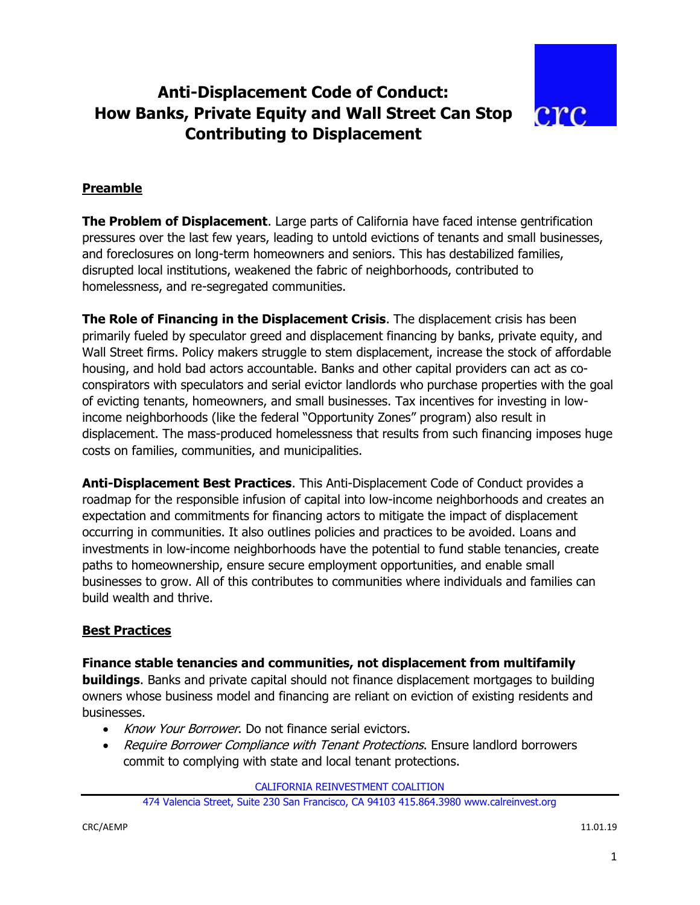# **Anti-Displacement Code of Conduct: How Banks, Private Equity and Wall Street Can Stop Contributing to Displacement**



# **Preamble**

**The Problem of Displacement**. Large parts of California have faced intense gentrification pressures over the last few years, leading to untold evictions of tenants and small businesses, and foreclosures on long-term homeowners and seniors. This has destabilized families, disrupted local institutions, weakened the fabric of neighborhoods, contributed to homelessness, and re-segregated communities.

**The Role of Financing in the Displacement Crisis**. The displacement crisis has been primarily fueled by speculator greed and displacement financing by banks, private equity, and Wall Street firms. Policy makers struggle to stem displacement, increase the stock of affordable housing, and hold bad actors accountable. Banks and other capital providers can act as coconspirators with speculators and serial evictor landlords who purchase properties with the goal of evicting tenants, homeowners, and small businesses. Tax incentives for investing in lowincome neighborhoods (like the federal "Opportunity Zones" program) also result in displacement. The mass-produced homelessness that results from such financing imposes huge costs on families, communities, and municipalities.

**Anti-Displacement Best Practices**. This Anti-Displacement Code of Conduct provides a roadmap for the responsible infusion of capital into low-income neighborhoods and creates an expectation and commitments for financing actors to mitigate the impact of displacement occurring in communities. It also outlines policies and practices to be avoided. Loans and investments in low-income neighborhoods have the potential to fund stable tenancies, create paths to homeownership, ensure secure employment opportunities, and enable small businesses to grow. All of this contributes to communities where individuals and families can build wealth and thrive.

# **Best Practices**

## **Finance stable tenancies and communities, not displacement from multifamily**

**buildings**. Banks and private capital should not finance displacement mortgages to building owners whose business model and financing are reliant on eviction of existing residents and businesses.

- Know Your Borrower. Do not finance serial evictors.
- Require Borrower Compliance with Tenant Protections. Ensure landlord borrowers commit to complying with state and local tenant protections.

CALIFORNIA REINVESTMENT COALITION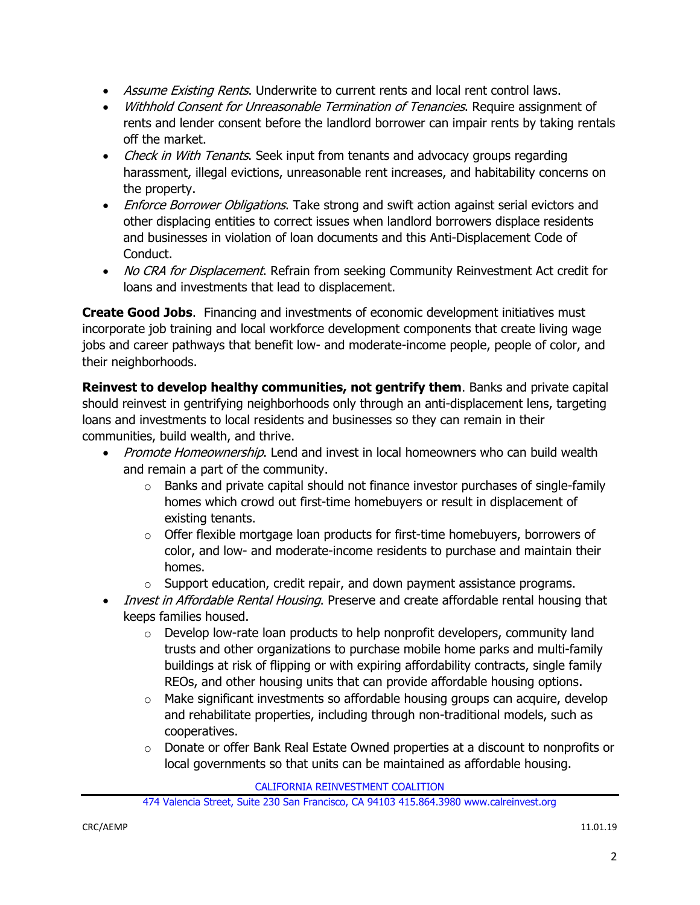- Assume Existing Rents. Underwrite to current rents and local rent control laws.
- Withhold Consent for Unreasonable Termination of Tenancies. Require assignment of rents and lender consent before the landlord borrower can impair rents by taking rentals off the market.
- Check in With Tenants. Seek input from tenants and advocacy groups regarding harassment, illegal evictions, unreasonable rent increases, and habitability concerns on the property.
- Enforce Borrower Obligations. Take strong and swift action against serial evictors and other displacing entities to correct issues when landlord borrowers displace residents and businesses in violation of loan documents and this Anti-Displacement Code of Conduct.
- No CRA for Displacement. Refrain from seeking Community Reinvestment Act credit for loans and investments that lead to displacement.

**Create Good Jobs**. Financing and investments of economic development initiatives must incorporate job training and local workforce development components that create living wage jobs and career pathways that benefit low- and moderate-income people, people of color, and their neighborhoods.

**Reinvest to develop healthy communities, not gentrify them**. Banks and private capital should reinvest in gentrifying neighborhoods only through an anti-displacement lens, targeting loans and investments to local residents and businesses so they can remain in their communities, build wealth, and thrive.

- Promote Homeownership. Lend and invest in local homeowners who can build wealth and remain a part of the community.
	- $\circ$  Banks and private capital should not finance investor purchases of single-family homes which crowd out first-time homebuyers or result in displacement of existing tenants.
	- $\circ$  Offer flexible mortgage loan products for first-time homebuyers, borrowers of color, and low- and moderate-income residents to purchase and maintain their homes.
	- o Support education, credit repair, and down payment assistance programs.
- Invest in Affordable Rental Housing. Preserve and create affordable rental housing that keeps families housed.
	- $\circ$  Develop low-rate loan products to help nonprofit developers, community land trusts and other organizations to purchase mobile home parks and multi-family buildings at risk of flipping or with expiring affordability contracts, single family REOs, and other housing units that can provide affordable housing options.
	- $\circ$  Make significant investments so affordable housing groups can acquire, develop and rehabilitate properties, including through non-traditional models, such as cooperatives.
	- o Donate or offer Bank Real Estate Owned properties at a discount to nonprofits or local governments so that units can be maintained as affordable housing.

CALIFORNIA REINVESTMENT COALITION

<sup>474</sup> Valencia Street, Suite 230 San Francisco, CA 94103 415.864.3980 www.calreinvest.org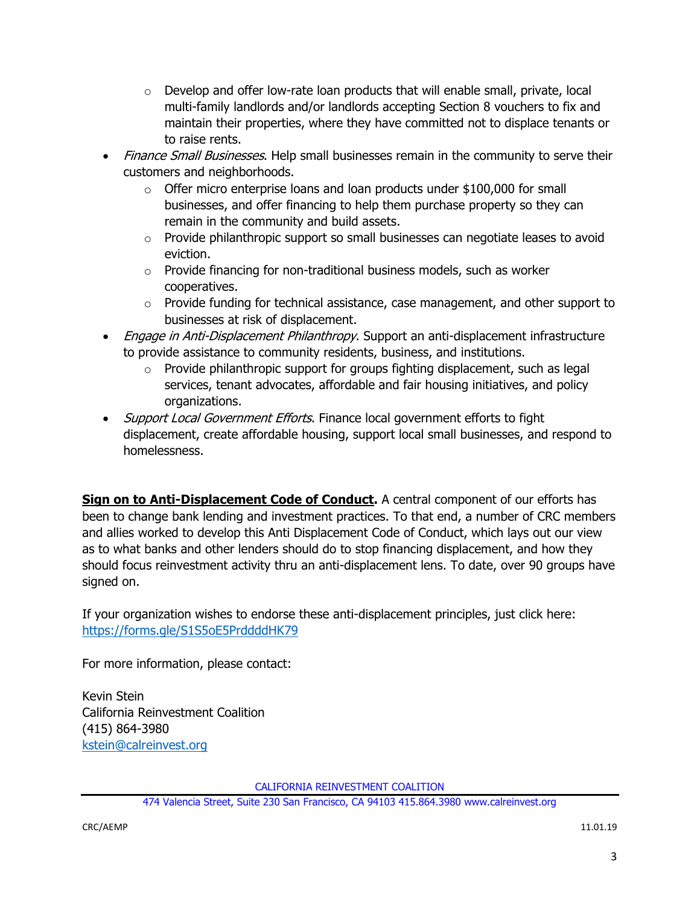- $\circ$  Develop and offer low-rate loan products that will enable small, private, local multi-family landlords and/or landlords accepting Section 8 vouchers to fix and maintain their properties, where they have committed not to displace tenants or to raise rents.
- Finance Small Businesses. Help small businesses remain in the community to serve their customers and neighborhoods.
	- o Offer micro enterprise loans and loan products under \$100,000 for small businesses, and offer financing to help them purchase property so they can remain in the community and build assets.
	- $\circ$  Provide philanthropic support so small businesses can negotiate leases to avoid eviction.
	- o Provide financing for non-traditional business models, such as worker cooperatives.
	- $\circ$  Provide funding for technical assistance, case management, and other support to businesses at risk of displacement.
- *Engage in Anti-Displacement Philanthropy*. Support an anti-displacement infrastructure to provide assistance to community residents, business, and institutions.
	- $\circ$  Provide philanthropic support for groups fighting displacement, such as legal services, tenant advocates, affordable and fair housing initiatives, and policy organizations.
- *Support Local Government Efforts*. Finance local government efforts to fight displacement, create affordable housing, support local small businesses, and respond to homelessness.

**Sign on to Anti-Displacement Code of Conduct.** A central component of our efforts has been to change bank lending and investment practices. To that end, a number of CRC members and allies worked to develop this Anti Displacement Code of Conduct, which lays out our view as to what banks and other lenders should do to stop financing displacement, and how they should focus reinvestment activity thru an anti-displacement lens. To date, over 90 groups have signed on.

If your organization wishes to endorse these anti-displacement principles, just click here: <https://forms.gle/S1S5oE5PrddddHK79>

For more information, please contact:

Kevin Stein California Reinvestment Coalition (415) 864-3980 [kstein@calreinvest.org](mailto:kstein@calreinvest.org)

CALIFORNIA REINVESTMENT COALITION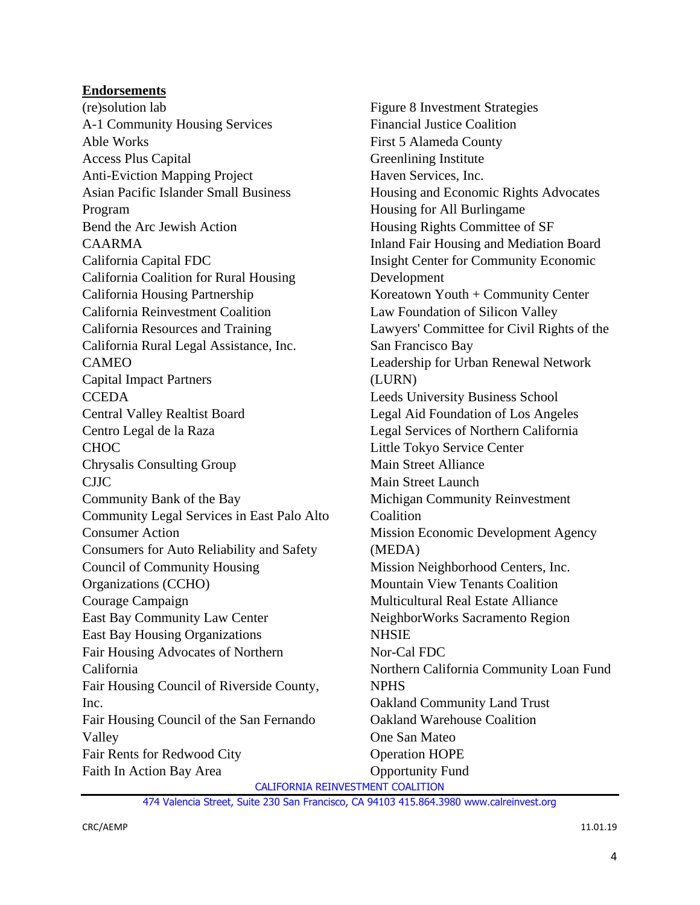### **Endorsements**

(re)solution lab A-1 Community Housing Services Able Works Access Plus Capital Anti-Eviction Mapping Project Asian Pacific Islander Small Business Program Bend the Arc Jewish Action CAARMA California Capital FDC California Coalition for Rural Housing California Housing Partnership California Reinvestment Coalition California Resources and Training California Rural Legal Assistance, Inc. CAMEO Capital Impact Partners **CCEDA** Central Valley Realtist Board Centro Legal de la Raza **CHOC** Chrysalis Consulting Group CJJC Community Bank of the Bay Community Legal Services in East Palo Alto Consumer Action Consumers for Auto Reliability and Safety Council of Community Housing Organizations (CCHO) Courage Campaign East Bay Community Law Center East Bay Housing Organizations Fair Housing Advocates of Northern California Fair Housing Council of Riverside County, Inc. Fair Housing Council of the San Fernando Valley Fair Rents for Redwood City Faith In Action Bay Area

Figure 8 Investment Strategies Financial Justice Coalition First 5 Alameda County Greenlining Institute Haven Services, Inc. Housing and Economic Rights Advocates Housing for All Burlingame Housing Rights Committee of SF Inland Fair Housing and Mediation Board Insight Center for Community Economic Development Koreatown Youth + Community Center Law Foundation of Silicon Valley Lawyers' Committee for Civil Rights of the San Francisco Bay Leadership for Urban Renewal Network (LURN) Leeds University Business School Legal Aid Foundation of Los Angeles Legal Services of Northern California Little Tokyo Service Center Main Street Alliance Main Street Launch Michigan Community Reinvestment **Coalition** Mission Economic Development Agency (MEDA) Mission Neighborhood Centers, Inc. Mountain View Tenants Coalition Multicultural Real Estate Alliance NeighborWorks Sacramento Region **NHSIE** Nor-Cal FDC Northern California Community Loan Fund NPHS Oakland Community Land Trust Oakland Warehouse Coalition One San Mateo Operation HOPE Opportunity Fund

CALIFORNIA REINVESTMENT COALITION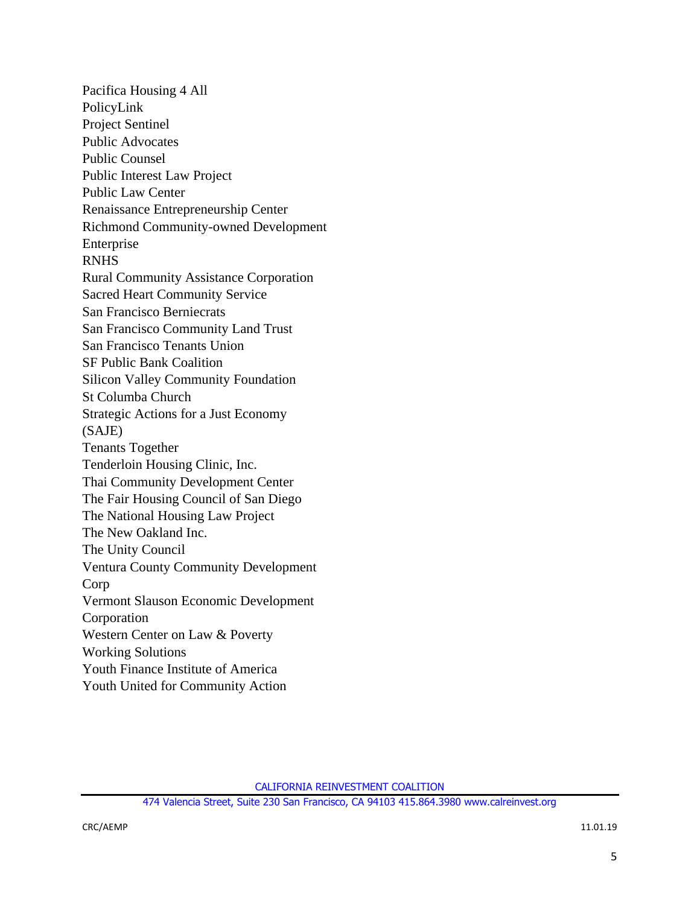Pacifica Housing 4 All PolicyLink Project Sentinel Public Advocates Public Counsel Public Interest Law Project Public Law Center Renaissance Entrepreneurship Center Richmond Community-owned Development Enterprise RNHS Rural Community Assistance Corporation Sacred Heart Community Service San Francisco Berniecrats San Francisco Community Land Trust San Francisco Tenants Union SF Public Bank Coalition Silicon Valley Community Foundation St Columba Church Strategic Actions for a Just Economy (SAJE) Tenants Together Tenderloin Housing Clinic, Inc. Thai Community Development Center The Fair Housing Council of San Diego The National Housing Law Project The New Oakland Inc. The Unity Council Ventura County Community Development Corp Vermont Slauson Economic Development Corporation Western Center on Law & Poverty Working Solutions Youth Finance Institute of America Youth United for Community Action

CALIFORNIA REINVESTMENT COALITION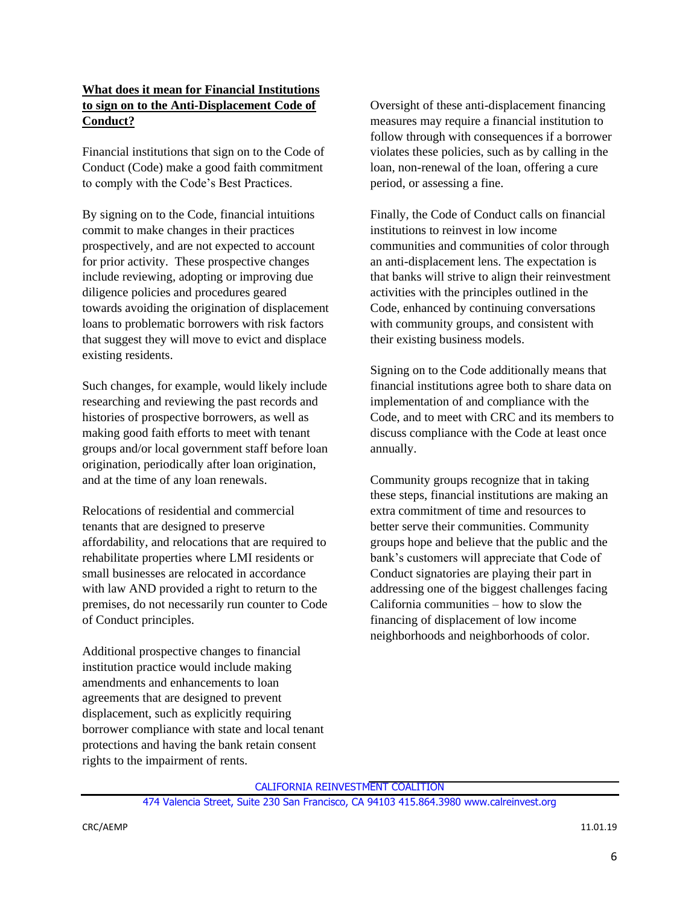#### **What does it mean for Financial Institutions to sign on to the Anti-Displacement Code of Conduct?**

Financial institutions that sign on to the Code of Conduct (Code) make a good faith commitment to comply with the Code's Best Practices.

By signing on to the Code, financial intuitions commit to make changes in their practices prospectively, and are not expected to account for prior activity. These prospective changes include reviewing, adopting or improving due diligence policies and procedures geared towards avoiding the origination of displacement loans to problematic borrowers with risk factors that suggest they will move to evict and displace existing residents.

Such changes, for example, would likely include researching and reviewing the past records and histories of prospective borrowers, as well as making good faith efforts to meet with tenant groups and/or local government staff before loan origination, periodically after loan origination, and at the time of any loan renewals.

Relocations of residential and commercial tenants that are designed to preserve affordability, and relocations that are required to rehabilitate properties where LMI residents or small businesses are relocated in accordance with law AND provided a right to return to the premises, do not necessarily run counter to Code of Conduct principles.

Additional prospective changes to financial institution practice would include making amendments and enhancements to loan agreements that are designed to prevent displacement, such as explicitly requiring borrower compliance with state and local tenant protections and having the bank retain consent rights to the impairment of rents.

Oversight of these anti-displacement financing measures may require a financial institution to follow through with consequences if a borrower violates these policies, such as by calling in the loan, non-renewal of the loan, offering a cure period, or assessing a fine.

Finally, the Code of Conduct calls on financial institutions to reinvest in low income communities and communities of color through an anti-displacement lens. The expectation is that banks will strive to align their reinvestment activities with the principles outlined in the Code, enhanced by continuing conversations with community groups, and consistent with their existing business models.

Signing on to the Code additionally means that financial institutions agree both to share data on implementation of and compliance with the Code, and to meet with CRC and its members to discuss compliance with the Code at least once annually.

Community groups recognize that in taking these steps, financial institutions are making an extra commitment of time and resources to better serve their communities. Community groups hope and believe that the public and the bank's customers will appreciate that Code of Conduct signatories are playing their part in addressing one of the biggest challenges facing California communities – how to slow the financing of displacement of low income neighborhoods and neighborhoods of color.

CALIFORNIA REINVESTMENT COALITION